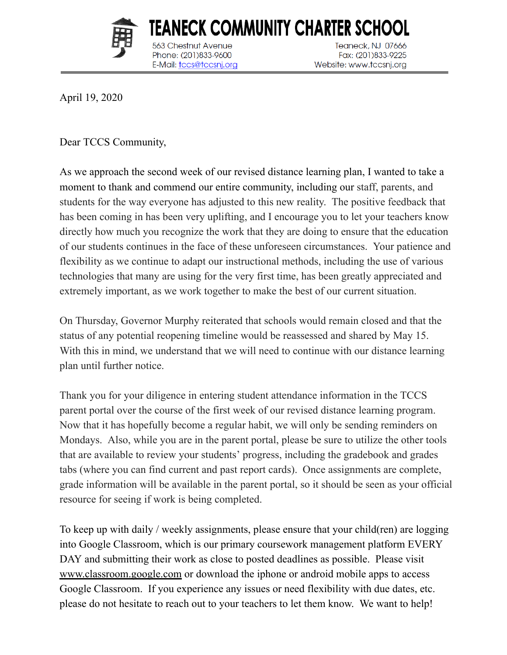

**Chestnut Avenue** 

Phone: (201)833-9600

E-Mail: tccs@tccsnj.org

TEANECK COMMUNITY CHARTER SCH Teaneck, NJ 07666 Fax: (201)833-9225 Website: www.tccsnj.org

April 19, 2020

Dear TCCS Community,

As we approach the second week of our revised distance learning plan, I wanted to take a moment to thank and commend our entire community, including our staff, parents, and students for the way everyone has adjusted to this new reality. The positive feedback that has been coming in has been very uplifting, and I encourage you to let your teachers know directly how much you recognize the work that they are doing to ensure that the education of our students continues in the face of these unforeseen circumstances. Your patience and flexibility as we continue to adapt our instructional methods, including the use of various technologies that many are using for the very first time, has been greatly appreciated and extremely important, as we work together to make the best of our current situation.

On Thursday, Governor Murphy reiterated that schools would remain closed and that the status of any potential reopening timeline would be reassessed and shared by May 15. With this in mind, we understand that we will need to continue with our distance learning plan until further notice.

Thank you for your diligence in entering student attendance information in the TCCS parent portal over the course of the first week of our revised distance learning program. Now that it has hopefully become a regular habit, we will only be sending reminders on Mondays. Also, while you are in the parent portal, please be sure to utilize the other tools that are available to review your students' progress, including the gradebook and grades tabs (where you can find current and past report cards). Once assignments are complete, grade information will be available in the parent portal, so it should be seen as your official resource for seeing if work is being completed.

To keep up with daily / weekly assignments, please ensure that your child(ren) are logging into Google Classroom, which is our primary coursework management platform EVERY DAY and submitting their work as close to posted deadlines as possible. Please visit [www.classroom.google.com](http://www.classroom.google.com/) or download the [iphone](https://apps.apple.com/us/app/google-classroom/id924620788) or [android](https://play.google.com/store/apps/details?id=com.google.android.apps.classroom&hl=en_US) mobile apps to access Google Classroom. If you experience any issues or need flexibility with due dates, etc. please do not hesitate to reach out to your teachers to let them know. We want to help!